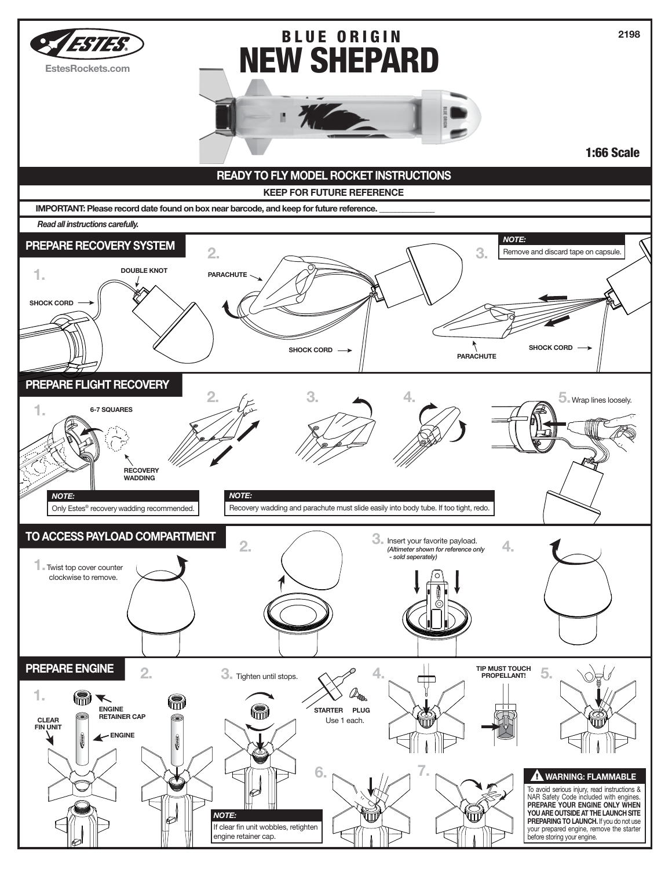